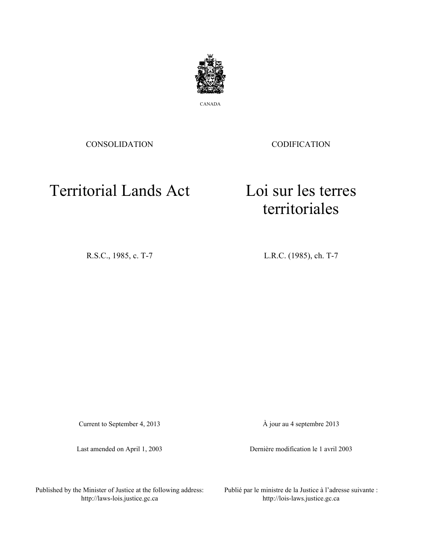

CANADA

CONSOLIDATION

CODIFICATION

# Territorial Lands Act

## Loi sur les terres territoriales

R.S.C., 1985, c. T-7 L.R.C. (1985), ch. T-7

Current to September 4, 2013

Last amended on April 1, 2003

À jour au 4 septembre 2013

Dernière modification le 1 avril 2003

Published by the Minister of Justice at the following address: http://laws-lois.justice.gc.ca

Publié par le ministre de la Justice à l'adresse suivante : http://lois-laws.justice.gc.ca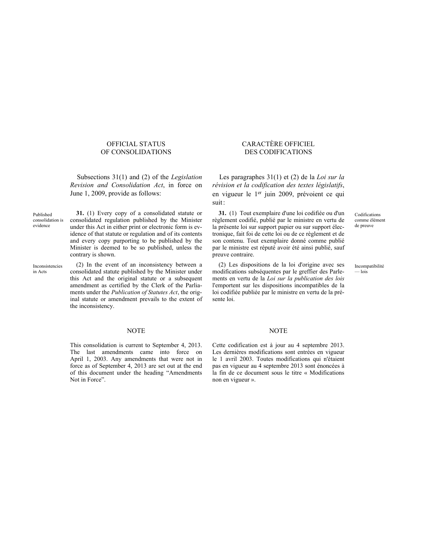### OFFICIAL STATUS OF CONSOLIDATIONS

Subsections 31(1) and (2) of the *Legislation Revision and Consolidation Act*, in force on June 1, 2009, provide as follows:

Published consolidation is evidence **31.** (1) Every copy of a consolidated statute or consolidated regulation published by the Minister under this Act in either print or electronic form is evidence of that statute or regulation and of its contents and every copy purporting to be published by the Minister is deemed to be so published, unless the contrary is shown.

Inconsistencies in Acts

(2) In the event of an inconsistency between a consolidated statute published by the Minister under this Act and the original statute or a subsequent amendment as certified by the Clerk of the Parliaments under the *Publication of Statutes Act*, the original statute or amendment prevails to the extent of the inconsistency.

#### NOTE NOTE

This consolidation is current to September 4, 2013. The last amendments came into force on April 1, 2003. Any amendments that were not in force as of September 4, 2013 are set out at the end of this document under the heading "Amendments Not in Force".

### CARACTÈRE OFFICIEL DES CODIFICATIONS

Les paragraphes 31(1) et (2) de la *Loi sur la révision et la codification des textes législatifs*, en vigueur le 1<sup>er</sup> juin 2009, prévoient ce qui suit:

**31.** (1) Tout exemplaire d'une loi codifiée ou d'un règlement codifié, publié par le ministre en vertu de la présente loi sur support papier ou sur support électronique, fait foi de cette loi ou de ce règlement et de son contenu. Tout exemplaire donné comme publié par le ministre est réputé avoir été ainsi publié, sauf preuve contraire.

(2) Les dispositions de la loi d'origine avec ses modifications subséquentes par le greffier des Parlements en vertu de la *Loi sur la publication des lois* l'emportent sur les dispositions incompatibles de la loi codifiée publiée par le ministre en vertu de la présente loi.

Codifications comme élément de preuve

Incompatibilité — lois

Cette codification est à jour au 4 septembre 2013. Les dernières modifications sont entrées en vigueur le 1 avril 2003. Toutes modifications qui n'étaient pas en vigueur au 4 septembre 2013 sont énoncées à la fin de ce document sous le titre « Modifications non en vigueur ».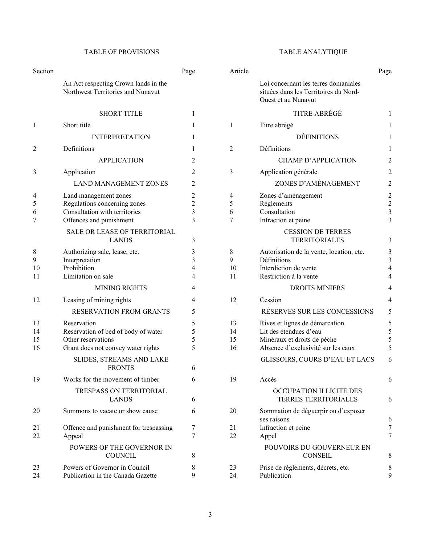### TABLE OF PROVISIONS TABLE ANALYTIQUE

| Section          |                                                                           | Page                    | Article        |                                                                                                      | Page           |
|------------------|---------------------------------------------------------------------------|-------------------------|----------------|------------------------------------------------------------------------------------------------------|----------------|
|                  | An Act respecting Crown lands in the<br>Northwest Territories and Nunavut |                         |                | Loi concernant les terres domaniales<br>situées dans les Territoires du Nord-<br>Ouest et au Nunavut |                |
|                  | <b>SHORT TITLE</b>                                                        | 1                       |                | <b>TITRE ABRÉGÉ</b>                                                                                  | 1              |
| $\,1\,$          | Short title                                                               | 1                       | $\mathbf{1}$   | Titre abrégé                                                                                         |                |
|                  | <b>INTERPRETATION</b>                                                     | 1                       |                | <b>DÉFINITIONS</b>                                                                                   |                |
| $\overline{2}$   | Definitions                                                               | 1                       | $\overline{2}$ | Définitions                                                                                          |                |
|                  | <b>APPLICATION</b>                                                        | 2                       |                | <b>CHAMP D'APPLICATION</b>                                                                           | 2              |
| 3                | Application                                                               | 2                       | 3              | Application générale                                                                                 | $\overline{c}$ |
|                  | <b>LAND MANAGEMENT ZONES</b>                                              | 2                       |                | ZONES D'AMÉNAGEMENT                                                                                  | $\overline{c}$ |
| 4                | Land management zones                                                     | $\overline{c}$          | 4              | Zones d'aménagement                                                                                  | $\overline{c}$ |
| 5                | Regulations concerning zones                                              | $\overline{2}$          | 5              | Règlements                                                                                           | $\overline{c}$ |
| 6                | Consultation with territories                                             | $\overline{\mathbf{3}}$ | 6              | Consultation                                                                                         | 3              |
| $\boldsymbol{7}$ | Offences and punishment                                                   | 3                       | 7              | Infraction et peine                                                                                  | 3              |
|                  | SALE OR LEASE OF TERRITORIAL<br><b>LANDS</b>                              | 3                       |                | <b>CESSION DE TERRES</b><br><b>TERRITORIALES</b>                                                     | 3              |
| 8                | Authorizing sale, lease, etc.                                             | 3                       | 8              | Autorisation de la vente, location, etc.                                                             | 3              |
| 9                | Interpretation                                                            | 3                       | 9              | Définitions                                                                                          | 3              |
| 10               | Prohibition                                                               | 4                       | 10             | Interdiction de vente                                                                                | 4              |
| 11               | Limitation on sale                                                        | 4                       | 11             | Restriction à la vente                                                                               |                |
|                  | <b>MINING RIGHTS</b>                                                      | 4                       |                | <b>DROITS MINIERS</b>                                                                                |                |
| 12               | Leasing of mining rights                                                  | 4                       | 12             | Cession                                                                                              | 4              |
|                  | RESERVATION FROM GRANTS                                                   | 5                       |                | RÉSERVES SUR LES CONCESSIONS                                                                         | 5              |
| 13               | Reservation                                                               | 5                       | 13             | Rives et lignes de démarcation                                                                       | 5              |
| 14               | Reservation of bed of body of water                                       | 5                       | 14             | Lit des étendues d'eau                                                                               | 5              |
| 15               | Other reservations                                                        | 5                       | 15             | Minéraux et droits de pêche                                                                          | 5              |
| 16               | Grant does not convey water rights                                        | 5                       | 16             | Absence d'exclusivité sur les eaux                                                                   | 5              |
|                  | SLIDES, STREAMS AND LAKE<br><b>FRONTS</b>                                 | 6                       |                | GLISSOIRS, COURS D'EAU ET LACS                                                                       | 6              |
| 19               | Works for the movement of timber                                          | 6                       | 19             | Accès                                                                                                | 6              |
|                  | TRESPASS ON TERRITORIAL<br><b>LANDS</b>                                   | 6                       |                | OCCUPATION ILLICITE DES<br>TERRES TERRITORIALES                                                      | 6              |
| 20               | Summons to vacate or show cause                                           | 6                       | 20             | Sommation de déguerpir ou d'exposer<br>ses raisons                                                   | 6              |
| 21               | Offence and punishment for trespassing                                    | 7                       | 21             | Infraction et peine                                                                                  | $\overline{7}$ |
| 22               | Appeal                                                                    | 7                       | $22\,$         | Appel                                                                                                | 7              |
|                  | POWERS OF THE GOVERNOR IN<br><b>COUNCIL</b>                               | 8                       |                | POUVOIRS DU GOUVERNEUR EN<br><b>CONSEIL</b>                                                          | 8              |
| 23               | Powers of Governor in Council                                             | 8                       | 23             | Prise de règlements, décrets, etc.                                                                   | 8              |
| 24               | Publication in the Canada Gazette                                         | 9                       | 24             | Publication                                                                                          | 9              |

|                                                                      | Page           | Article        |                                                                                                      | Page           |
|----------------------------------------------------------------------|----------------|----------------|------------------------------------------------------------------------------------------------------|----------------|
| Act respecting Crown lands in the<br>rthwest Territories and Nunavut |                |                | Loi concernant les terres domaniales<br>situées dans les Territoires du Nord-<br>Ouest et au Nunavut |                |
| <b>SHORT TITLE</b>                                                   | 1              |                | <b>TITRE ABRÉGÉ</b>                                                                                  | 1              |
| ort title                                                            | 1              | 1              | Titre abrégé                                                                                         | 1              |
| <b>INTERPRETATION</b>                                                | 1              |                | <b>DÉFINITIONS</b>                                                                                   | 1              |
| finitions                                                            | 1              | $\overline{2}$ | Définitions                                                                                          | $\mathbf{1}$   |
| <b>APPLICATION</b>                                                   | 2              |                | <b>CHAMP D'APPLICATION</b>                                                                           | $\overline{2}$ |
| plication                                                            | 2              | 3              | Application générale                                                                                 | $\overline{2}$ |
| <b>LAND MANAGEMENT ZONES</b>                                         | 2              |                | ZONES D'AMÉNAGEMENT                                                                                  | $\overline{2}$ |
| nd management zones                                                  | 2              | 4              | Zones d'aménagement                                                                                  | $\sqrt{2}$     |
| gulations concerning zones                                           | $\overline{c}$ | 5              | Règlements                                                                                           | $\sqrt{2}$     |
| nsultation with territories                                          | 3              | 6              | Consultation                                                                                         | $\overline{3}$ |
| fences and punishment                                                | 3              | 7              | Infraction et peine                                                                                  | 3              |
| ALE OR LEASE OF TERRITORIAL                                          |                |                | <b>CESSION DE TERRES</b>                                                                             |                |
| <b>LANDS</b>                                                         | 3              |                | <b>TERRITORIALES</b>                                                                                 | 3              |
| thorizing sale, lease, etc.                                          | 3              | $8\,$          | Autorisation de la vente, location, etc.                                                             | $\mathfrak{Z}$ |
| erpretation                                                          | 3              | 9              | Définitions                                                                                          | $\mathfrak{Z}$ |
| hibition                                                             | 4              | 10             | Interdiction de vente                                                                                | 4              |
| nitation on sale                                                     | 4              | 11             | Restriction à la vente                                                                               | 4              |
| <b>MINING RIGHTS</b>                                                 | 4              |                | <b>DROITS MINIERS</b>                                                                                | 4              |
| using of mining rights                                               | 4              | 12             | Cession                                                                                              | $\overline{4}$ |
| RESERVATION FROM GRANTS                                              | 5              |                | RÉSERVES SUR LES CONCESSIONS                                                                         | 5              |
| servation                                                            | 5              | 13             | Rives et lignes de démarcation                                                                       | $\mathfrak s$  |
| servation of bed of body of water                                    | 5              | 14             | Lit des étendues d'eau                                                                               | 5              |
| ner reservations                                                     | 5              | 15             | Minéraux et droits de pêche                                                                          | 5              |
| ant does not convey water rights                                     | 5              | 16             | Absence d'exclusivité sur les eaux                                                                   | 5              |
| SLIDES, STREAMS AND LAKE<br><b>FRONTS</b>                            | 6              |                | GLISSOIRS, COURS D'EAU ET LACS                                                                       | 6              |
| orks for the movement of timber                                      | 6              | 19             | Accès                                                                                                | 6              |
| TRESPASS ON TERRITORIAL<br><b>LANDS</b>                              | 6              |                | OCCUPATION ILLICITE DES<br>TERRES TERRITORIALES                                                      | 6              |
| nmons to vacate or show cause                                        | 6              | 20             | Sommation de déguerpir ou d'exposer<br>ses raisons                                                   | 6              |
| fence and punishment for trespassing                                 | 7              | 21             | Infraction et peine                                                                                  | $\tau$         |
| peal                                                                 | 7              | 22             | Appel                                                                                                | $\tau$         |
| POWERS OF THE GOVERNOR IN<br><b>COUNCIL</b>                          | 8              |                | POUVOIRS DU GOUVERNEUR EN<br><b>CONSEIL</b>                                                          | 8              |
| wers of Governor in Council                                          | 8              | 23             | Prise de règlements, décrets, etc.                                                                   | 8              |
| plication in the Canada Gazette                                      | $\mathbf Q$    | 24             | Publication                                                                                          | $\mathbf Q$    |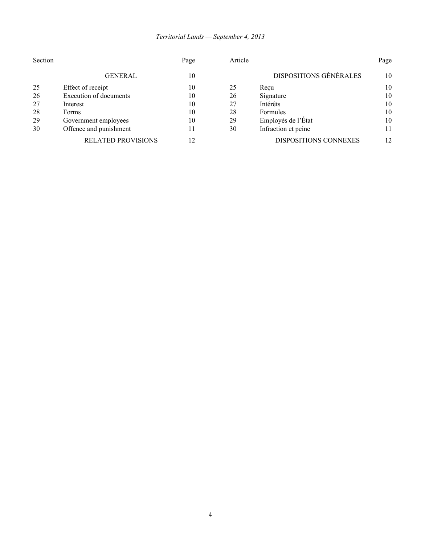### *Territorial Lands — September 4, 2013*

| Section |                               | Page | Article |                               | Page |
|---------|-------------------------------|------|---------|-------------------------------|------|
|         | <b>GENERAL</b>                | 10   |         | <b>DISPOSITIONS GÉNÉRALES</b> | 10   |
| 25      | Effect of receipt             | 10   | 25      | Recu                          | 10   |
| 26      | <b>Execution of documents</b> | 10   | 26      | Signature                     | 10   |
| 27      | Interest                      | 10   | 27      | <b>Intérêts</b>               | 10   |
| 28      | <b>Forms</b>                  | 10   | 28      | Formules                      | 10   |
| 29      | Government employees          | 10   | 29      | Employés de l'État            | 10   |
| 30      | Offence and punishment        | 11   | 30      | Infraction et peine           | 11   |
|         | <b>RELATED PROVISIONS</b>     | 12   |         | <b>DISPOSITIONS CONNEXES</b>  | 12   |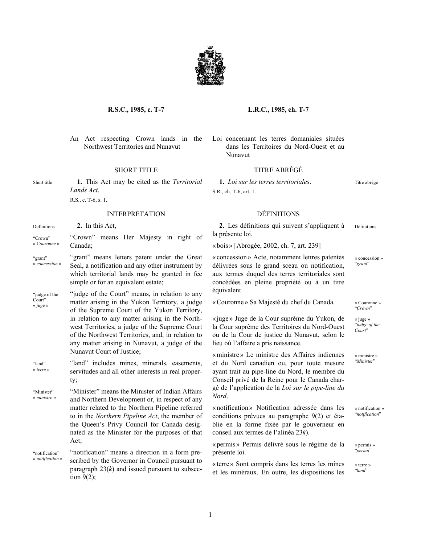

### <span id="page-4-0"></span>**R.S.C., 1985, c. T-7 L.R.C., 1985, ch. T-7**

An Act respecting Crown lands in the Northwest Territories and Nunavut

Short title **1.** This Act may be cited as the *Territorial Lands Act*. R.S., c. T-6, s. 1.

#### INTERPRETATION DÉFINITIONS

Definitions **2.** In this Act,

"Crown" « *Couronne* » "Crown" means Her Majesty in right of Canada;

"grant" « *concession* » "grant" means letters patent under the Great Seal, a notification and any other instrument by which territorial lands may be granted in fee simple or for an equivalent estate;

"judge of the Court" « *juge* » "judge of the Court" means, in relation to any matter arising in the Yukon Territory, a judge of the Supreme Court of the Yukon Territory, in relation to any matter arising in the Northwest Territories, a judge of the Supreme Court of the Northwest Territories, and, in relation to any matter arising in Nunavut, a judge of the Nunavut Court of Justice;

"land" « *terre* » "land" includes mines, minerals, easements, servitudes and all other interests in real property;

"Minister" « *ministre* » "Minister" means the Minister of Indian Affairs and Northern Development or, in respect of any matter related to the Northern Pipeline referred to in the *Northern Pipeline Act*, the member of the Queen's Privy Council for Canada designated as the Minister for the purposes of that Act;

"notification" « *notification* » "notification" means a direction in a form prescribed by the Governor in Council pursuant to paragraph  $23(k)$  and issued pursuant to subsection  $9(2)$ ;

Loi concernant les terres domaniales situées dans les Territoires du Nord-Ouest et au Nunavut

### SHORT TITLE TITRE ABRÉGÉ

**1.** *Loi sur les terres territoriales*. S.R., ch. T-6, art. 1.

| 2. Les définitions qui suivent s'appliquent à | Définitions |  |
|-----------------------------------------------|-------------|--|
| la présente loi.                              |             |  |
| «bois» [Abrogée, 2002, ch. 7, art. 239]       |             |  |

«concession » Acte, notamment lettres patentes délivrées sous le grand sceau ou notification, aux termes duquel des terres territoriales sont concédées en pleine propriété ou à un titre équivalent.

«Couronne » Sa Majesté du chef du Canada. « Couronne »

«juge » Juge de la Cour suprême du Yukon, de la Cour suprême des Territoires du Nord-Ouest ou de la Cour de justice du Nunavut, selon le lieu où l'affaire a pris naissance.

«ministre » Le ministre des Affaires indiennes et du Nord canadien ou, pour toute mesure ayant trait au pipe-line du Nord, le membre du Conseil privé de la Reine pour le Canada chargé de l'application de la *Loi sur le pipe-line du Nord*.

«notification» Notification adressée dans les conditions prévues au paragraphe 9(2) et établie en la forme fixée par le gouverneur en conseil aux termes de l'alinéa 23*k*).

«permis» Permis délivré sous le régime de la présente loi.

«terre» Sont compris dans les terres les mines et les minéraux. En outre, les dispositions les "*Crown*"

« concession » "*grant*"

Titre abrégé

« juge » "*judge of the Court*"

« ministre » "*Minister*"

« notification » "*notification*"

« permis » "*permit*"

« terre » "*land*"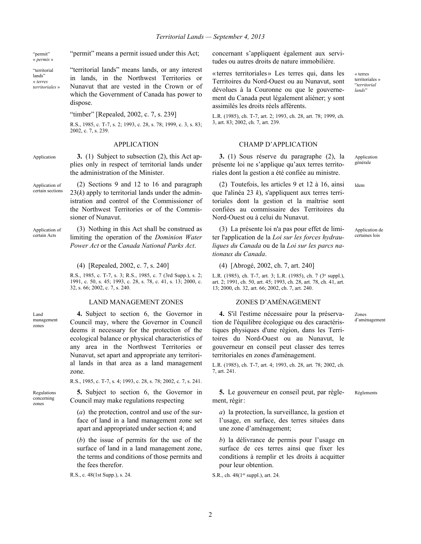<span id="page-5-0"></span>"permit" « *permis* » "permit" means a permit issued under this Act;

"territorial lands"

« *terres territoriales* »

Land management zones

Regulations concerning zones

"territorial lands" means lands, or any interest in lands, in the Northwest Territories or Nunavut that are vested in the Crown or of which the Government of Canada has power to dispose.

"timber" [Repealed, 2002, c. 7, s. 239]

R.S., 1985, c. T-7, s. 2; 1993, c. 28, s. 78; 1999, c. 3, s. 83; 2002, c. 7, s. 239.

- Application **3.** (1) Subject to subsection (2), this Act applies only in respect of territorial lands under the administration of the Minister.
- Application of certain sections (2) Sections 9 and 12 to 16 and paragraph  $23(k)$  apply to territorial lands under the administration and control of the Commissioner of the Northwest Territories or of the Commissioner of Nunavut.
- Application of certain Acts (3) Nothing in this Act shall be construed as limiting the operation of the *Dominion Water Power Act* or the *Canada National Parks Act*.

(4) [Repealed, 2002, c. 7, s. 240]

R.S., 1985, c. T-7, s. 3; R.S., 1985, c. 7 (3rd Supp.), s. 2; 1991, c. 50, s. 45; 1993, c. 28, s. 78, c. 41, s. 13; 2000, c. 32, s. 66; 2002, c. 7, s. 240.

### LAND MANAGEMENT ZONES ZONES D'AMÉNAGEMENT

**4.** Subject to section 6, the Governor in Council may, where the Governor in Council deems it necessary for the protection of the ecological balance or physical characteristics of any area in the Northwest Territories or Nunavut, set apart and appropriate any territorial lands in that area as a land management zone.

R.S., 1985, c. T-7, s. 4; 1993, c. 28, s. 78; 2002, c. 7, s. 241.

**5.** Subject to section 6, the Governor in Council may make regulations respecting

(*a*) the protection, control and use of the surface of land in a land management zone set apart and appropriated under section 4; and

(*b*) the issue of permits for the use of the surface of land in a land management zone, the terms and conditions of those permits and the fees therefor.

R.S., c. 48(1st Supp.), s. 24.

concernant s'appliquent également aux servitudes ou autres droits de nature immobilière.

«terres territoriales» Les terres qui, dans les Territoires du Nord-Ouest ou au Nunavut, sont dévolues à la Couronne ou que le gouvernement du Canada peut légalement aliéner; y sont assimilés les droits réels afférents.

L.R. (1985), ch. T-7, art. 2; 1993, ch. 28, art. 78; 1999, ch. 3, art. 83; 2002, ch. 7, art. 239.

### APPLICATION CHAMP D'APPLICATION

**3.** (1) Sous réserve du paragraphe (2), la présente loi ne s'applique qu'aux terres territoriales dont la gestion a été confiée au ministre.

(2) Toutefois, les articles 9 et 12 à 16, ainsi que l'alinéa 23 *k*), s'appliquent aux terres territoriales dont la gestion et la maîtrise sont confiées au commissaire des Territoires du Nord-Ouest ou à celui du Nunavut.

(3) La présente loi n'a pas pour effet de limiter l'application de la *Loi sur les forces hydrauliques du Canada* ou de la *Loi sur les parcs nationaux du Canada*.

(4) [Abrogé, 2002, ch. 7, art. 240]

L.R. (1985), ch. T-7, art. 3; L.R. (1985), ch. 7 (3<sup>e</sup> suppl.), art. 2; 1991, ch. 50, art. 45; 1993, ch. 28, art. 78, ch. 41, art. 13; 2000, ch. 32, art. 66; 2002, ch. 7, art. 240.

**4.** S'il l'estime nécessaire pour la préservation de l'équilibre écologique ou des caractéristiques physiques d'une région, dans les Territoires du Nord-Ouest ou au Nunavut, le gouverneur en conseil peut classer des terres territoriales en zones d'aménagement.

L.R. (1985), ch. T-7, art. 4; 1993, ch. 28, art. 78; 2002, ch. 7, art. 241.

**5.** Le gouverneur en conseil peut, par règlement, régir: Règlements

*a*) la protection, la surveillance, la gestion et l'usage, en surface, des terres situées dans une zone d'aménagement;

*b*) la délivrance de permis pour l'usage en surface de ces terres ainsi que fixer les conditions à remplir et les droits à acquitter pour leur obtention.

S.R., ch. 48(1<sup>er</sup> suppl.), art. 24.

Idem

Application générale

« terres territoriales » "*territorial lands*"

Application de certaines lois

Zones d'aménagement

2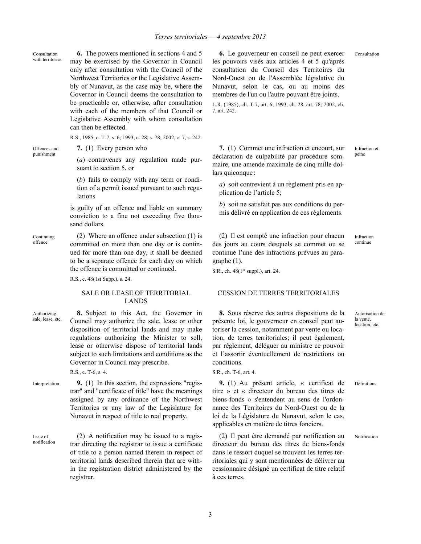<span id="page-6-0"></span>Consultation with territories

**6.** The powers mentioned in sections 4 and 5 may be exercised by the Governor in Council only after consultation with the Council of the Northwest Territories or the Legislative Assembly of Nunavut, as the case may be, where the Governor in Council deems the consultation to be practicable or, otherwise, after consultation with each of the members of that Council or Legislative Assembly with whom consultation can then be effected.

R.S., 1985, c. T-7, s. 6; 1993, c. 28, s. 78; 2002, c. 7, s. 242.

Offences and punishment

**7.** (1) Every person who

(*a*) contravenes any regulation made pursuant to section 5, or

(*b*) fails to comply with any term or condition of a permit issued pursuant to such regulations

is guilty of an offence and liable on summary conviction to a fine not exceeding five thousand dollars.

Continuing offence

(2) Where an offence under subsection (1) is committed on more than one day or is continued for more than one day, it shall be deemed to be a separate offence for each day on which the offence is committed or continued.

R.S., c. 48(1st Supp.), s. 24.

### SALE OR LEASE OF TERRITORIAL LANDS

Authorizing sale, lease, etc. **8.** Subject to this Act, the Governor in Council may authorize the sale, lease or other disposition of territorial lands and may make regulations authorizing the Minister to sell, lease or otherwise dispose of territorial lands subject to such limitations and conditions as the Governor in Council may prescribe.

R.S., c. T-6, s. 4.

Interpretation **9.** (1) In this section, the expressions "registrar" and "certificate of title" have the meanings assigned by any ordinance of the Northwest Territories or any law of the Legislature for Nunavut in respect of title to real property.

Issue of notification (2) A notification may be issued to a registrar directing the registrar to issue a certificate of title to a person named therein in respect of territorial lands described therein that are within the registration district administered by the registrar.

**6.** Le gouverneur en conseil ne peut exercer les pouvoirs visés aux articles 4 et 5 qu'après consultation du Conseil des Territoires du Nord-Ouest ou de l'Assemblée législative du Nunavut, selon le cas, ou au moins des membres de l'un ou l'autre pouvant être joints.

L.R. (1985), ch. T-7, art. 6; 1993, ch. 28, art. 78; 2002, ch. 7, art. 242.

**7.** (1) Commet une infraction et encourt, sur déclaration de culpabilité par procédure sommaire, une amende maximale de cinq mille dollars quiconque :

*a*) soit contrevient à un règlement pris en application de l'article 5;

*b*) soit ne satisfait pas aux conditions du permis délivré en application de ces règlements.

(2) Il est compté une infraction pour chacun des jours au cours desquels se commet ou se continue l'une des infractions prévues au paragraphe (1).

S.R., ch. 48(1<sup>er</sup> suppl.), art. 24.

### CESSION DE TERRES TERRITORIALES

**8.** Sous réserve des autres dispositions de la présente loi, le gouverneur en conseil peut autoriser la cession, notamment par vente ou location, de terres territoriales; il peut également, par règlement, déléguer au ministre ce pouvoir et l'assortir éventuellement de restrictions ou conditions.

S.R., ch. T-6, art. 4.

**9.** (1) Au présent article, « certificat de titre » et « directeur du bureau des titres de biens-fonds » s'entendent au sens de l'ordonnance des Territoires du Nord-Ouest ou de la loi de la Législature du Nunavut, selon le cas, applicables en matière de titres fonciers.

(2) Il peut être demandé par notification au directeur du bureau des titres de biens-fonds dans le ressort duquel se trouvent les terres territoriales qui y sont mentionnées de délivrer au cessionnaire désigné un certificat de titre relatif à ces terres.

Infraction et peine

Consultation

Infraction continue

Autorisation de la vente, location, etc.

Définitions

Notification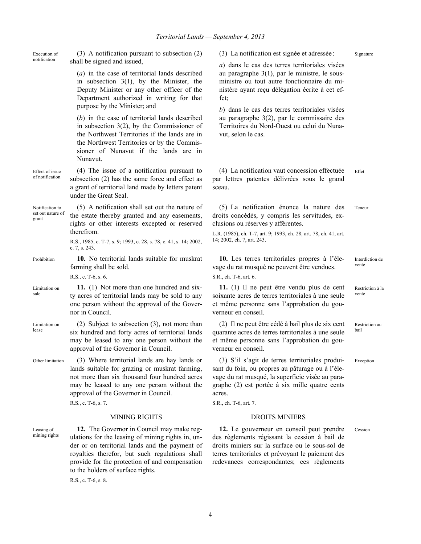<span id="page-7-0"></span>

| Execution of<br>notification                  | $(3)$ A notification pursuant to subsection $(2)$<br>shall be signed and issued,<br>(a) in the case of territorial lands described<br>in subsection $3(1)$ , by the Minister, the<br>Deputy Minister or any other officer of the<br>Department authorized in writing for that<br>purpose by the Minister; and<br>$(b)$ in the case of territorial lands described<br>in subsection $3(2)$ , by the Commissioner of<br>the Northwest Territories if the lands are in<br>the Northwest Territories or by the Commis-<br>sioner of Nunavut if the lands are in<br>Nunavut. | (3) La notification est signée et adressée :<br>a) dans le cas des terres territoriales visées<br>au paragraphe $3(1)$ , par le ministre, le sous-<br>ministre ou tout autre fonctionnaire du mi-<br>nistère ayant reçu délégation écrite à cet ef-<br>fet;<br>b) dans le cas des terres territoriales visées<br>au paragraphe $3(2)$ , par le commissaire des<br>Territoires du Nord-Ouest ou celui du Nuna-<br>vut, selon le cas. | Signature                 |
|-----------------------------------------------|-------------------------------------------------------------------------------------------------------------------------------------------------------------------------------------------------------------------------------------------------------------------------------------------------------------------------------------------------------------------------------------------------------------------------------------------------------------------------------------------------------------------------------------------------------------------------|-------------------------------------------------------------------------------------------------------------------------------------------------------------------------------------------------------------------------------------------------------------------------------------------------------------------------------------------------------------------------------------------------------------------------------------|---------------------------|
| Effect of issue<br>of notification            | (4) The issue of a notification pursuant to<br>subsection $(2)$ has the same force and effect as<br>a grant of territorial land made by letters patent<br>under the Great Seal.                                                                                                                                                                                                                                                                                                                                                                                         | (4) La notification vaut concession effectuée<br>par lettres patentes délivrées sous le grand<br>sceau.                                                                                                                                                                                                                                                                                                                             | Effet                     |
| Notification to<br>set out nature of<br>grant | (5) A notification shall set out the nature of<br>the estate thereby granted and any easements,<br>rights or other interests excepted or reserved<br>therefrom.<br>R.S., 1985, c. T-7, s. 9; 1993, c. 28, s. 78, c. 41, s. 14; 2002,<br>c. $7, s. 243$ .                                                                                                                                                                                                                                                                                                                | (5) La notification énonce la nature des<br>droits concédés, y compris les servitudes, ex-<br>clusions ou réserves y afférentes.<br>L.R. (1985), ch. T-7, art. 9; 1993, ch. 28, art. 78, ch. 41, art.<br>14; 2002, ch. 7, art. 243.                                                                                                                                                                                                 | Teneur                    |
| Prohibition                                   | 10. No territorial lands suitable for muskrat<br>farming shall be sold.<br>R.S., c. T-6, s. 6.                                                                                                                                                                                                                                                                                                                                                                                                                                                                          | 10. Les terres territoriales propres à l'éle-<br>vage du rat musqué ne peuvent être vendues.<br>S.R., ch. T-6, art. 6.                                                                                                                                                                                                                                                                                                              | Interdiction de<br>vente  |
| Limitation on<br>sale                         | 11. (1) Not more than one hundred and six-<br>ty acres of territorial lands may be sold to any<br>one person without the approval of the Gover-<br>nor in Council.                                                                                                                                                                                                                                                                                                                                                                                                      | 11. $(1)$ Il ne peut être vendu plus de cent<br>soixante acres de terres territoriales à une seule<br>et même personne sans l'approbation du gou-<br>verneur en conseil.                                                                                                                                                                                                                                                            | Restriction à la<br>vente |
| Limitation on<br>lease                        | $(2)$ Subject to subsection $(3)$ , not more than<br>six hundred and forty acres of territorial lands<br>may be leased to any one person without the<br>approval of the Governor in Council.                                                                                                                                                                                                                                                                                                                                                                            | (2) Il ne peut être cédé à bail plus de six cent<br>quarante acres de terres territoriales à une seule<br>et même personne sans l'approbation du gou-<br>verneur en conseil.                                                                                                                                                                                                                                                        | Restriction au<br>bail    |
| Other limitation                              | (3) Where territorial lands are hay lands or<br>lands suitable for grazing or muskrat farming,<br>not more than six thousand four hundred acres<br>may be leased to any one person without the<br>approval of the Governor in Council.<br>R.S., c. T-6, s. 7.                                                                                                                                                                                                                                                                                                           | (3) S'il s'agit de terres territoriales produi-<br>sant du foin, ou propres au pâturage ou à l'éle-<br>vage du rat musqué, la superficie visée au para-<br>graphe (2) est portée à six mille quatre cents<br>acres.<br>S.R., ch. T-6, art. 7.                                                                                                                                                                                       | Exception                 |
|                                               | <b>MINING RIGHTS</b>                                                                                                                                                                                                                                                                                                                                                                                                                                                                                                                                                    | <b>DROITS MINIERS</b>                                                                                                                                                                                                                                                                                                                                                                                                               |                           |
| Leasing of<br>mining rights                   | 12. The Governor in Council may make reg-<br>ulations for the leasing of mining rights in, un-<br>der or on territorial lands and the payment of<br>royalties therefor, but such regulations shall<br>provide for the protection of and compensation                                                                                                                                                                                                                                                                                                                    | 12. Le gouverneur en conseil peut prendre<br>des règlements régissant la cession à bail de<br>droits miniers sur la surface ou le sous-sol de<br>terres territoriales et prévoyant le paiement des<br>redevances correspondantes; ces règlements                                                                                                                                                                                    | Cession                   |

to the holders of surface rights.

R.S., c. T-6, s. 8.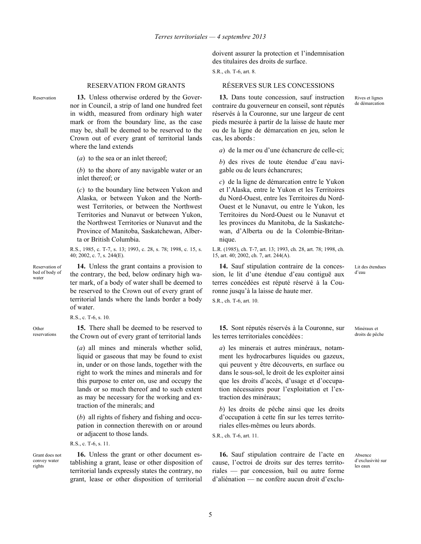doivent assurer la protection et l'indemnisation des titulaires des droits de surface.

S.R., ch. T-6, art. 8.

### RESERVATION FROM GRANTS RÉSERVES SUR LES CONCESSIONS

**13.** Dans toute concession, sauf instruction contraire du gouverneur en conseil, sont réputés réservés à la Couronne, sur une largeur de cent pieds mesurée à partir de la laisse de haute mer ou de la ligne de démarcation en jeu, selon le cas, les abords:

*a*) de la mer ou d'une échancrure de celle-ci;

*b*) des rives de toute étendue d'eau navigable ou de leurs échancrures;

*c*) de la ligne de démarcation entre le Yukon et l'Alaska, entre le Yukon et les Territoires du Nord-Ouest, entre les Territoires du Nord-Ouest et le Nunavut, ou entre le Yukon, les Territoires du Nord-Ouest ou le Nunavut et les provinces du Manitoba, de la Saskatchewan, d'Alberta ou de la Colombie-Britannique.

L.R. (1985), ch. T-7, art. 13; 1993, ch. 28, art. 78; 1998, ch. 15, art. 40; 2002, ch. 7, art. 244(A).

**14.** Sauf stipulation contraire de la concession, le lit d'une étendue d'eau contiguë aux terres concédées est réputé réservé à la Couronne jusqu'à la laisse de haute mer.

S.R., ch. T-6, art. 10.

**15.** Sont réputés réservés à la Couronne, sur les terres territoriales concédées :

Minéraux et droits de pêche

Lit des étendues d'eau

Rives et lignes de démarcation

*a*) les minerais et autres minéraux, notamment les hydrocarbures liquides ou gazeux, qui peuvent y être découverts, en surface ou dans le sous-sol, le droit de les exploiter ainsi que les droits d'accès, d'usage et d'occupation nécessaires pour l'exploitation et l'extraction des minéraux;

*b*) les droits de pêche ainsi que les droits d'occupation à cette fin sur les terres territoriales elles-mêmes ou leurs abords.

S.R., ch. T-6, art. 11.

**16.** Sauf stipulation contraire de l'acte en cause, l'octroi de droits sur des terres territoriales — par concession, bail ou autre forme d'aliénation — ne confère aucun droit d'exclu-

Absence d'exclusivité sur les eaux

<span id="page-8-0"></span>Reservation **13.** Unless otherwise ordered by the Governor in Council, a strip of land one hundred feet in width, measured from ordinary high water mark or from the boundary line, as the case may be, shall be deemed to be reserved to the Crown out of every grant of territorial lands where the land extends

(*a*) to the sea or an inlet thereof;

(*b*) to the shore of any navigable water or an inlet thereof; or

(*c*) to the boundary line between Yukon and Alaska, or between Yukon and the Northwest Territories, or between the Northwest Territories and Nunavut or between Yukon, the Northwest Territories or Nunavut and the Province of Manitoba, Saskatchewan, Alberta or British Columbia.

R.S., 1985, c. T-7, s. 13; 1993, c. 28, s. 78; 1998, c. 15, s. 40; 2002, c. 7, s. 244(E).

Reservation of bed of body of water

Other reservations

rights

**14.** Unless the grant contains a provision to the contrary, the bed, below ordinary high water mark, of a body of water shall be deemed to be reserved to the Crown out of every grant of territorial lands where the lands border a body of water.

R.S., c. T-6, s. 10.

**15.** There shall be deemed to be reserved to the Crown out of every grant of territorial lands

> (*a*) all mines and minerals whether solid, liquid or gaseous that may be found to exist in, under or on those lands, together with the right to work the mines and minerals and for this purpose to enter on, use and occupy the lands or so much thereof and to such extent as may be necessary for the working and extraction of the minerals; and

> (*b*) all rights of fishery and fishing and occupation in connection therewith on or around or adjacent to those lands.

R.S., c. T-6, s. 11.

Grant does not convey water **16.** Unless the grant or other document establishing a grant, lease or other disposition of territorial lands expressly states the contrary, no grant, lease or other disposition of territorial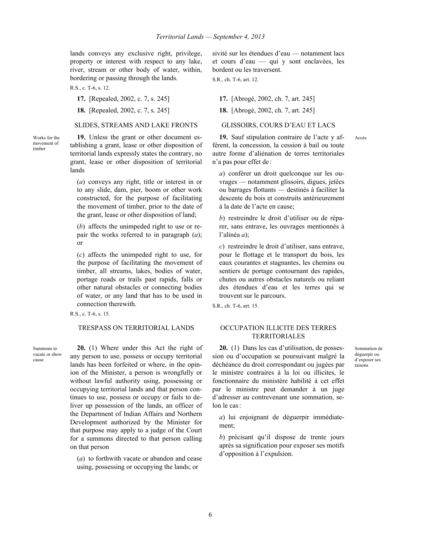<span id="page-9-0"></span>lands conveys any exclusive right, privilege, property or interest with respect to any lake, river, stream or other body of water, within, bordering or passing through the lands.

R.S., c. T-6, s. 12.

Works for the movement of timber

**19.** Unless the grant or other document establishing a grant, lease or other disposition of territorial lands expressly states the contrary, no grant, lease or other disposition of territorial lands

(*a*) conveys any right, title or interest in or to any slide, dam, pier, boom or other work constructed, for the purpose of facilitating the movement of timber, prior to the date of the grant, lease or other disposition of land;

(*b*) affects the unimpeded right to use or repair the works referred to in paragraph (*a*); or

(*c*) affects the unimpeded right to use, for the purpose of facilitating the movement of timber, all streams, lakes, bodies of water, portage roads or trails past rapids, falls or other natural obstacles or connecting bodies of water, or any land that has to be used in connection therewith.

R.S., c. T-6, s. 15.

#### TRESPASS ON TERRITORIAL LANDS OCCUPATION ILLICITE DES TERRES

Summons to vacate or show cause

**20.** (1) Where under this Act the right of any person to use, possess or occupy territorial lands has been forfeited or where, in the opinion of the Minister, a person is wrongfully or without lawful authority using, possessing or occupying territorial lands and that person continues to use, possess or occupy or fails to deliver up possession of the lands, an officer of the Department of Indian Affairs and Northern Development authorized by the Minister for that purpose may apply to a judge of the Court for a summons directed to that person calling on that person

(*a*) to forthwith vacate or abandon and cease using, possessing or occupying the lands; or

sivité sur les étendues d'eau — notamment lacs et cours d'eau — qui y sont enclavées, les bordent ou les traversent. S.R., ch. T-6, art. 12.

**17.** [Repealed, 2002, c. 7, s. 245] **17.** [Abrogé, 2002, ch. 7, art. 245]

**18.** [Repealed, 2002, c. 7, s. 245] **18.** [Abrogé, 2002, ch. 7, art. 245]

### SLIDES, STREAMS AND LAKE FRONTS GLISSOIRS, COURS D'EAU ET LACS

**19.** Sauf stipulation contraire de l'acte y afférent, la concession, la cession à bail ou toute autre forme d'aliénation de terres territoriales n'a pas pour effet de :

*a*) conférer un droit quelconque sur les ouvrages — notamment glissoirs, digues, jetées ou barrages flottants — destinés à faciliter la descente du bois et construits antérieurement à la date de l'acte en cause;

*b*) restreindre le droit d'utiliser ou de réparer, sans entrave, les ouvrages mentionnés à l'alinéa *a*);

*c*) restreindre le droit d'utiliser, sans entrave, pour le flottage et le transport du bois, les eaux courantes et stagnantes, les chemins ou sentiers de portage contournant des rapides, chutes ou autres obstacles naturels ou reliant des étendues d'eau et les terres qui se trouvent sur le parcours.

S.R., ch. T-6, art. 15.

## TERRITORIALES

**20.** (1) Dans les cas d'utilisation, de possession ou d'occupation se poursuivant malgré la déchéance du droit correspondant ou jugées par le ministre contraires à la loi ou illicites, le fonctionnaire du ministère habilité à cet effet par le ministre peut demander à un juge d'adresser au contrevenant une sommation, selon le cas:

*a*) lui enjoignant de déguerpir immédiatement;

*b*) précisant qu'il dispose de trente jours après sa signification pour exposer ses motifs d'opposition à l'expulsion.

Sommation de déguerpir ou d'exposer ses raisons

Accès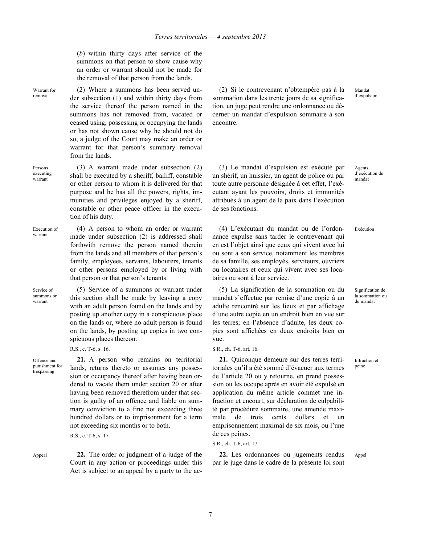<span id="page-10-0"></span>(*b*) within thirty days after service of the summons on that person to show cause why an order or warrant should not be made for the removal of that person from the lands.

Warrant for removal

(2) Where a summons has been served under subsection (1) and within thirty days from the service thereof the person named in the summons has not removed from, vacated or ceased using, possessing or occupying the lands or has not shown cause why he should not do so, a judge of the Court may make an order or warrant for that person's summary removal from the lands.

Persons executing warrant

warrant

Service of summons or warrant

(3) A warrant made under subsection (2) shall be executed by a sheriff, bailiff, constable or other person to whom it is delivered for that purpose and he has all the powers, rights, immunities and privileges enjoyed by a sheriff, constable or other peace officer in the execution of his duty.

Execution of (4) A person to whom an order or warrant made under subsection (2) is addressed shall forthwith remove the person named therein from the lands and all members of that person's family, employees, servants, labourers, tenants or other persons employed by or living with that person or that person's tenants.

> (5) Service of a summons or warrant under this section shall be made by leaving a copy with an adult person found on the lands and by posting up another copy in a conspicuous place on the lands or, where no adult person is found on the lands, by posting up copies in two conspicuous places thereon.

R.S., c. T-6, s. 16.

Offence and punishment for trespassing

**21.** A person who remains on territorial lands, returns thereto or assumes any possession or occupancy thereof after having been ordered to vacate them under section 20 or after having been removed therefrom under that section is guilty of an offence and liable on summary conviction to a fine not exceeding three hundred dollars or to imprisonment for a term not exceeding six months or to both.

R.S., c. T-6, s. 17.

Appeal **22.** The order or judgment of a judge of the Court in any action or proceedings under this Act is subject to an appeal by a party to the ac-

(2) Si le contrevenant n'obtempère pas à la sommation dans les trente jours de sa signification, un juge peut rendre une ordonnance ou décerner un mandat d'expulsion sommaire à son encontre.

Mandat d'expulsion

Agents d'exécution du mandat

Exécution

(3) Le mandat d'expulsion est exécuté par un shérif, un huissier, un agent de police ou par toute autre personne désignée à cet effet, l'exécutant ayant les pouvoirs, droits et immunités attribués à un agent de la paix dans l'exécution de ses fonctions.

(4) L'exécutant du mandat ou de l'ordonnance expulse sans tarder le contrevenant qui en est l'objet ainsi que ceux qui vivent avec lui ou sont à son service, notamment les membres de sa famille, ses employés, serviteurs, ouvriers ou locataires et ceux qui vivent avec ses locataires ou sont à leur service.

(5) La signification de la sommation ou du mandat s'effectue par remise d'une copie à un adulte rencontré sur les lieux et par affichage d'une autre copie en un endroit bien en vue sur les terres; en l'absence d'adulte, les deux copies sont affichées en deux endroits bien en vue.

#### S.R., ch. T-6, art. 16.

**21.** Quiconque demeure sur des terres territoriales qu'il a été sommé d'évacuer aux termes de l'article 20 ou y retourne, en prend possession ou les occupe après en avoir été expulsé en application du même article commet une infraction et encourt, sur déclaration de culpabilité par procédure sommaire, une amende maximale de trois cents dollars et un emprisonnement maximal de six mois, ou l'une de ces peines.

**22.** Les ordonnances ou jugements rendus par le juge dans le cadre de la présente loi sont Appel

Signification de la sommation ou du mandat

Infraction et peine

7

S.R., ch. T-6, art. 17.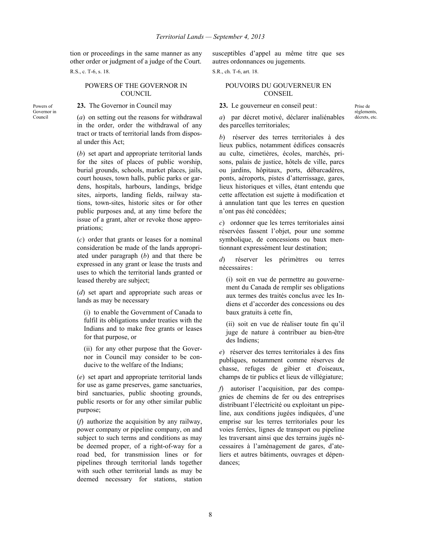<span id="page-11-0"></span>tion or proceedings in the same manner as any other order or judgment of a judge of the Court. R.S., c. T-6, s. 18.

#### POWERS OF THE GOVERNOR IN COUNCIL

**23.** The Governor in Council may

Powers of Governor in Council

(*a*) on setting out the reasons for withdrawal in the order, order the withdrawal of any tract or tracts of territorial lands from disposal under this Act;

(*b*) set apart and appropriate territorial lands for the sites of places of public worship, burial grounds, schools, market places, jails, court houses, town halls, public parks or gardens, hospitals, harbours, landings, bridge sites, airports, landing fields, railway stations, town-sites, historic sites or for other public purposes and, at any time before the issue of a grant, alter or revoke those appropriations;

(*c*) order that grants or leases for a nominal consideration be made of the lands appropriated under paragraph (*b*) and that there be expressed in any grant or lease the trusts and uses to which the territorial lands granted or leased thereby are subject;

(*d*) set apart and appropriate such areas or lands as may be necessary

(i) to enable the Government of Canada to fulfil its obligations under treaties with the Indians and to make free grants or leases for that purpose, or

(ii) for any other purpose that the Governor in Council may consider to be conducive to the welfare of the Indians:

(*e*) set apart and appropriate territorial lands for use as game preserves, game sanctuaries, bird sanctuaries, public shooting grounds, public resorts or for any other similar public purpose;

(*f*) authorize the acquisition by any railway, power company or pipeline company, on and subject to such terms and conditions as may be deemed proper, of a right-of-way for a road bed, for transmission lines or for pipelines through territorial lands together with such other territorial lands as may be deemed necessary for stations, station

susceptibles d'appel au même titre que ses autres ordonnances ou jugements.

S.R., ch. T-6, art. 18.

#### POUVOIRS DU GOUVERNEUR EN CONSEIL.

**23.** Le gouverneur en conseil peut:

Prise de règlements, décrets, etc.

*a*) par décret motivé, déclarer inaliénables des parcelles territoriales; *b*) réserver des terres territoriales à des

lieux publics, notamment édifices consacrés au culte, cimetières, écoles, marchés, prisons, palais de justice, hôtels de ville, parcs ou jardins, hôpitaux, ports, débarcadères, ponts, aéroports, pistes d'atterrissage, gares, lieux historiques et villes, étant entendu que cette affectation est sujette à modification et à annulation tant que les terres en question n'ont pas été concédées;

*c*) ordonner que les terres territoriales ainsi réservées fassent l'objet, pour une somme symbolique, de concessions ou baux mentionnant expressément leur destination;

*d*) réserver les périmètres ou terres nécessaires:

(i) soit en vue de permettre au gouvernement du Canada de remplir ses obligations aux termes des traités conclus avec les Indiens et d'accorder des concessions ou des baux gratuits à cette fin,

(ii) soit en vue de réaliser toute fin qu'il juge de nature à contribuer au bien-être des Indiens;

*e*) réserver des terres territoriales à des fins publiques, notamment comme réserves de chasse, refuges de gibier et d'oiseaux, champs de tir publics et lieux de villégiature;

*f*) autoriser l'acquisition, par des compagnies de chemins de fer ou des entreprises distribuant l'électricité ou exploitant un pipeline, aux conditions jugées indiquées, d'une emprise sur les terres territoriales pour les voies ferrées, lignes de transport ou pipeline les traversant ainsi que des terrains jugés nécessaires à l'aménagement de gares, d'ateliers et autres bâtiments, ouvrages et dépendances;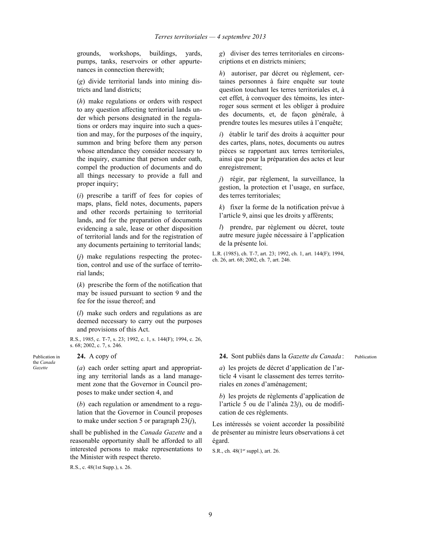<span id="page-12-0"></span>grounds, workshops, buildings, yards, pumps, tanks, reservoirs or other appurtenances in connection therewith;

(*g*) divide territorial lands into mining districts and land districts;

(*h*) make regulations or orders with respect to any question affecting territorial lands under which persons designated in the regulations or orders may inquire into such a question and may, for the purposes of the inquiry, summon and bring before them any person whose attendance they consider necessary to the inquiry, examine that person under oath, compel the production of documents and do all things necessary to provide a full and proper inquiry;

(*i*) prescribe a tariff of fees for copies of maps, plans, field notes, documents, papers and other records pertaining to territorial lands, and for the preparation of documents evidencing a sale, lease or other disposition of territorial lands and for the registration of any documents pertaining to territorial lands;

(*j*) make regulations respecting the protection, control and use of the surface of territorial lands;

(*k*) prescribe the form of the notification that may be issued pursuant to section 9 and the fee for the issue thereof; and

(*l*) make such orders and regulations as are deemed necessary to carry out the purposes and provisions of this Act.

R.S., 1985, c. T-7, s. 23; 1992, c. 1, s. 144(F); 1994, c. 26, s. 68; 2002, c. 7, s. 246.

Publication in the *Canada Gazette*

#### **24.** A copy of

(*a*) each order setting apart and appropriating any territorial lands as a land management zone that the Governor in Council proposes to make under section 4, and

(*b*) each regulation or amendment to a regulation that the Governor in Council proposes to make under section 5 or paragraph 23(*j*),

shall be published in the *Canada Gazette* and a reasonable opportunity shall be afforded to all interested persons to make representations to the Minister with respect thereto.

R.S., c. 48(1st Supp.), s. 26.

*g*) diviser des terres territoriales en circonscriptions et en districts miniers;

*h*) autoriser, par décret ou règlement, certaines personnes à faire enquête sur toute question touchant les terres territoriales et, à cet effet, à convoquer des témoins, les interroger sous serment et les obliger à produire des documents, et, de façon générale, à prendre toutes les mesures utiles à l'enquête;

*i*) établir le tarif des droits à acquitter pour des cartes, plans, notes, documents ou autres pièces se rapportant aux terres territoriales, ainsi que pour la préparation des actes et leur enregistrement;

*j*) régir, par règlement, la surveillance, la gestion, la protection et l'usage, en surface, des terres territoriales;

*k*) fixer la forme de la notification prévue à l'article 9, ainsi que les droits y afférents;

*l*) prendre, par règlement ou décret, toute autre mesure jugée nécessaire à l'application de la présente loi.

L.R. (1985), ch. T-7, art. 23; 1992, ch. 1, art. 144(F); 1994, ch. 26, art. 68; 2002, ch. 7, art. 246.

#### **24.** Sont publiés dans la *Gazette du Canada*:

Publication

*a*) les projets de décret d'application de l'article 4 visant le classement des terres territoriales en zones d'aménagement;

*b*) les projets de règlements d'application de l'article 5 ou de l'alinéa 23*j*), ou de modification de ces règlements.

Les intéressés se voient accorder la possibilité de présenter au ministre leurs observations à cet égard.

S.R., ch.  $48(1<sup>er</sup> supp.),$  art. 26.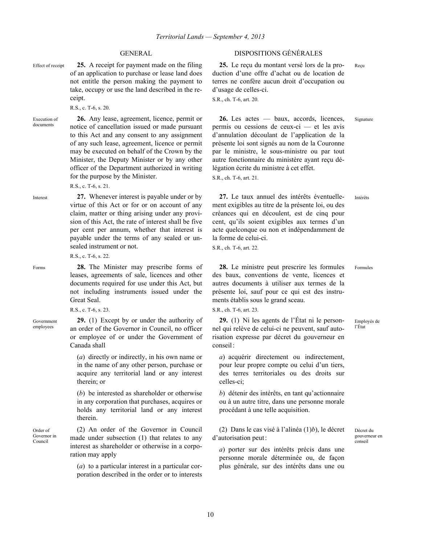<span id="page-13-0"></span>Effect of receipt **25.** A receipt for payment made on the filing of an application to purchase or lease land does not entitle the person making the payment to take, occupy or use the land described in the receipt.

R.S., c. T-6, s. 20.

Execution of documents

Government employees

Order of

Council

**26.** Any lease, agreement, licence, permit or notice of cancellation issued or made pursuant to this Act and any consent to any assignment of any such lease, agreement, licence or permit may be executed on behalf of the Crown by the Minister, the Deputy Minister or by any other officer of the Department authorized in writing for the purpose by the Minister.

R.S., c. T-6, s. 21.

Interest **27.** Whenever interest is payable under or by virtue of this Act or for or on account of any claim, matter or thing arising under any provision of this Act, the rate of interest shall be five per cent per annum, whether that interest is payable under the terms of any sealed or unsealed instrument or not.

R.S., c. T-6, s. 22.

Forms **28.** The Minister may prescribe forms of leases, agreements of sale, licences and other documents required for use under this Act, but not including instruments issued under the Great Seal.

R.S., c. T-6, s. 23.

**29.** (1) Except by or under the authority of an order of the Governor in Council, no officer or employee of or under the Government of Canada shall

(*a*) directly or indirectly, in his own name or in the name of any other person, purchase or acquire any territorial land or any interest therein; or

(*b*) be interested as shareholder or otherwise in any corporation that purchases, acquires or holds any territorial land or any interest therein.

Governor in (2) An order of the Governor in Council made under subsection (1) that relates to any interest as shareholder or otherwise in a corporation may apply

> (*a*) to a particular interest in a particular corporation described in the order or to interests

### GENERAL DISPOSITIONS GÉNÉRALES

**25.** Le reçu du montant versé lors de la production d'une offre d'achat ou de location de terres ne confère aucun droit d'occupation ou d'usage de celles-ci.

S.R., ch. T-6, art. 20.

26. Les actes — baux, accords, licences, permis ou cessions de ceux-ci — et les avis d'annulation découlant de l'application de la présente loi sont signés au nom de la Couronne par le ministre, le sous-ministre ou par tout autre fonctionnaire du ministère ayant reçu délégation écrite du ministre à cet effet.

S.R., ch. T-6, art. 21.

**27.** Le taux annuel des intérêts éventuellement exigibles au titre de la présente loi, ou des créances qui en découlent, est de cinq pour cent, qu'ils soient exigibles aux termes d'un acte quelconque ou non et indépendamment de la forme de celui-ci.

S.R., ch. T-6, art. 22.

**28.** Le ministre peut prescrire les formules des baux, conventions de vente, licences et autres documents à utiliser aux termes de la présente loi, sauf pour ce qui est des instruments établis sous le grand sceau.

S.R., ch. T-6, art. 23.

**29.** (1) Ni les agents de l'État ni le personnel qui relève de celui-ci ne peuvent, sauf autorisation expresse par décret du gouverneur en conseil:

*a*) acquérir directement ou indirectement, pour leur propre compte ou celui d'un tiers, des terres territoriales ou des droits sur celles-ci;

*b*) détenir des intérêts, en tant qu'actionnaire ou à un autre titre, dans une personne morale procédant à une telle acquisition.

(2) Dans le cas visé à l'alinéa (1)*b*), le décret d'autorisation peut:

*a*) porter sur des intérêts précis dans une personne morale déterminée ou, de façon plus générale, sur des intérêts dans une ou

Formules

Intérêts

Reçu

Signature

Employés de l'État

Décret du gouverneur en conseil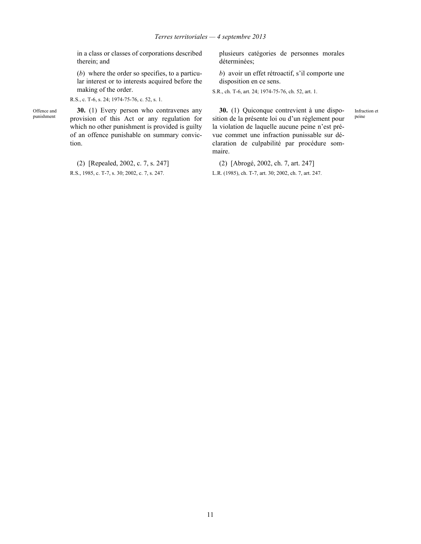<span id="page-14-0"></span>in a class or classes of corporations described therein; and

(*b*) where the order so specifies, to a particular interest or to interests acquired before the making of the order.

R.S., c. T-6, s. 24; 1974-75-76, c. 52, s. 1.

Offence and punishment

**30.** (1) Every person who contravenes any provision of this Act or any regulation for which no other punishment is provided is guilty of an offence punishable on summary conviction.

(2) [Repealed, 2002, c. 7, s. 247] R.S., 1985, c. T-7, s. 30; 2002, c. 7, s. 247.

plusieurs catégories de personnes morales déterminées;

*b*) avoir un effet rétroactif, s'il comporte une disposition en ce sens.

S.R., ch. T-6, art. 24; 1974-75-76, ch. 52, art. 1.

**30.** (1) Quiconque contrevient à une disposition de la présente loi ou d'un règlement pour la violation de laquelle aucune peine n'est prévue commet une infraction punissable sur déclaration de culpabilité par procédure sommaire.

Infraction et peine

(2) [Abrogé, 2002, ch. 7, art. 247] L.R. (1985), ch. T-7, art. 30; 2002, ch. 7, art. 247.